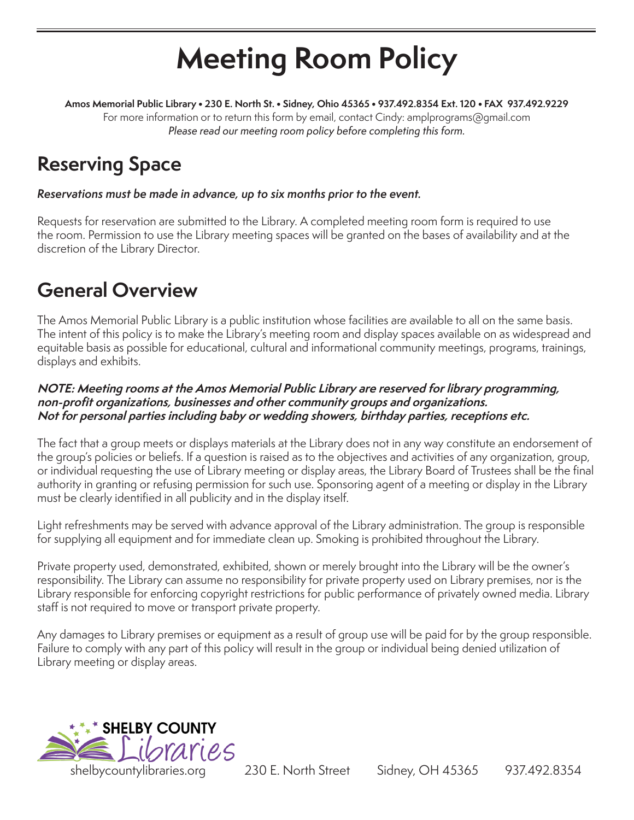# **Meeting Room Policy**

**Amos Memorial Public Library • 230 E. North St. • Sidney, Ohio 45365 • 937.492.8354 Ext. 120 • FAX 937.492.9229** For more information or to return this form by email, contact Cindy: amplprograms@gmail.com Please read our meeting room policy before completing this form.

## **Reserving Space**

### Reservations must be made in advance, up to six months prior to the event.

Requests for reservation are submitted to the Library. A completed meeting room form is required to use the room. Permission to use the Library meeting spaces will be granted on the bases of availability and at the discretion of the Library Director.

### **General Overview**

The Amos Memorial Public Library is a public institution whose facilities are available to all on the same basis. The intent of this policy is to make the Library's meeting room and display spaces available on as widespread and equitable basis as possible for educational, cultural and informational community meetings, programs, trainings, displays and exhibits.

#### **NOTE: Meeting rooms at the Amos Memorial Public Library are reserved for library programming, non-profit organizations, businesses and other community groups and organizations. Not for personal parties including baby or wedding showers, birthday parties, receptions etc.**

The fact that a group meets or displays materials at the Library does not in any way constitute an endorsement of the group's policies or beliefs. If a question is raised as to the objectives and activities of any organization, group, or individual requesting the use of Library meeting or display areas, the Library Board of Trustees shall be the final authority in granting or refusing permission for such use. Sponsoring agent of a meeting or display in the Library must be clearly identified in all publicity and in the display itself.

Light refreshments may be served with advance approval of the Library administration. The group is responsible for supplying all equipment and for immediate clean up. Smoking is prohibited throughout the Library.

Private property used, demonstrated, exhibited, shown or merely brought into the Library will be the owner's responsibility. The Library can assume no responsibility for private property used on Library premises, nor is the Library responsible for enforcing copyright restrictions for public performance of privately owned media. Library staff is not required to move or transport private property.

Any damages to Library premises or equipment as a result of group use will be paid for by the group responsible. Failure to comply with any part of this policy will result in the group or individual being denied utilization of Library meeting or display areas.



shelbycountylibraries.org 230 E. North Street Sidney, OH 45365 937.492.8354